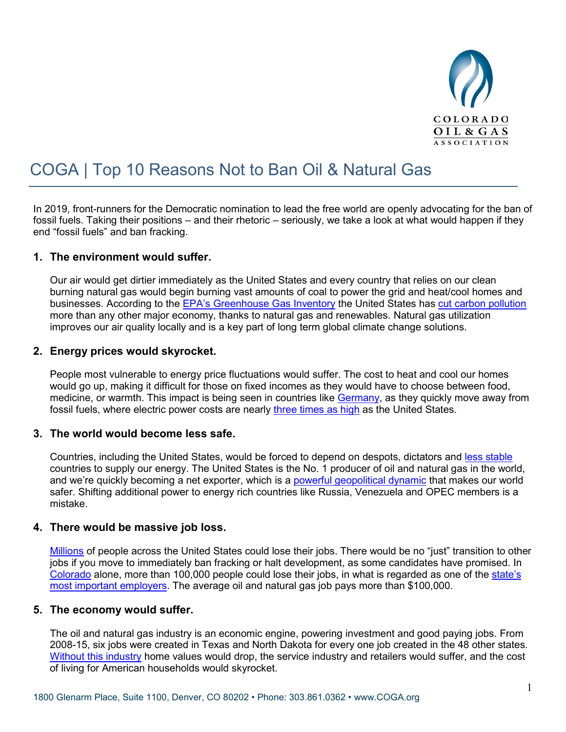

# COGA | Top 10 Reasons Not to Ban Oil & Natural Gas

In 2019, front-runners for the Democratic nomination to lead the free world are openly advocating for the ban of fossil fuels. Taking their positions – and their rhetoric – seriously, we take a look at what would happen if they end "fossil fuels" and ban fracking.

## **1. The environment would suffer.**

Our air would get dirtier immediately as the United States and every country that relies on our clean burning natural gas would begin burning vast amounts of coal to power the grid and heat/cool homes and businesses. According to the [EPA's Greenhouse Gas Inventory](https://www.epa.gov/sites/production/files/2019-04/documents/us-ghg-inventory-2019-main-text.pdf) the United States has [cut carbon pollution](https://eidclimate.org/latest-epa-data-show-u-s-greenhouse-gas-emissions-at-lowest-levels-since-1992/) more than any other major economy, thanks to natural gas and renewables. Natural gas utilization improves our air quality locally and is a key part of long term global climate change solutions.

## **2. Energy prices would skyrocket.**

People most vulnerable to energy price fluctuations would suffer. The cost to heat and cool our homes would go up, making it difficult for those on fixed incomes as they would have to choose between food, medicine, or warmth. This impact is being seen in countries like [Germany,](https://www.cleanenergywire.org/factsheets/what-german-households-pay-power) as they quickly move away from fossil fuels, where electric power costs are nearly [three times as high](https://www.statista.com/statistics/263492/electricity-prices-in-selected-countries/) as the United States.

#### **3. The world would become less safe.**

Countries, including the United States, would be forced to depend on despots, dictators and [less stable](https://www.cnbc.com/2019/09/20/oil-drone-attack-damage-revealed-at-saudi-aramco-facility.html) countries to supply our energy. The United States is the No. 1 producer of oil and natural gas in the world, and we're quickly becoming a net exporter, which is a [powerful geopolitical dynamic](https://www.api.org/news-policy-and-issues/blog/2019/03/21/us-energy-exports-and-geopolitical-transformation) that makes our world safer. Shifting additional power to energy rich countries like Russia, Venezuela and OPEC members is a mistake.

#### **4. There would be massive job loss.**

[Millions](https://www.api.org/news-policy-and-issues/american-jobs/economic-impacts-of-oil-and-natural-gas) of people across the United States could lose their jobs. There would be no "just" transition to other jobs if you move to immediately ban fracking or halt development, as some candidates have promised. In [Colorado](https://www.api.org/news-policy-and-issues/news/2017/08/01/colorado-jobs-supported-by-natural-gas-a) alone, more than 100,000 people could lose their jobs, in what is regarded as one of the [state's](https://www.usatoday.com/story/money/2019/08/14/oil-and-gas-insurance-hospitals-largest-industry-in-your-state/39936017/)  [most important employers.](https://www.usatoday.com/story/money/2019/08/14/oil-and-gas-insurance-hospitals-largest-industry-in-your-state/39936017/) The average oil and natural gas job pays more than \$100,000.

# **5. The economy would suffer.**

The oil and natural gas industry is an economic engine, powering investment and good paying jobs. From 2008-15, six jobs were created in Texas and North Dakota for every one job created in the 48 other states. [Without this industry](https://www.globalenergyinstitute.org/new-energy-institute-report-finds-us-could-lose-nearly-15-million-jobs-if-hydraulic-fracturing) home values would drop, the service industry and retailers would suffer, and the cost of living for American households would skyrocket.